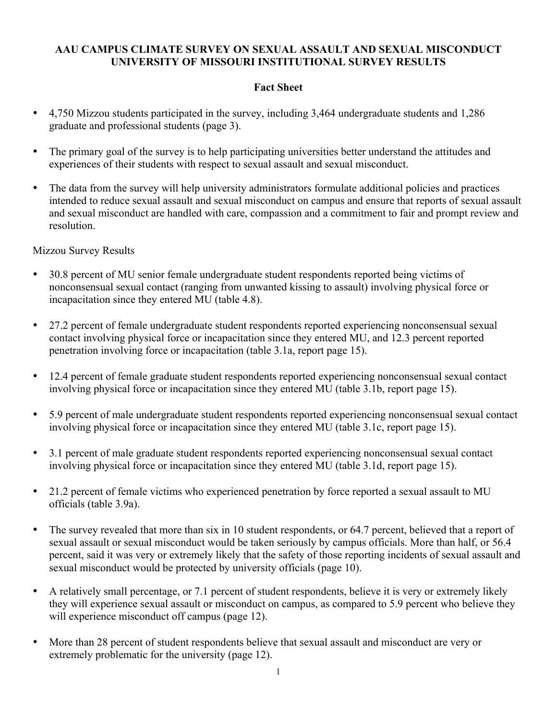#### **AAU CAMPUS CLIMATE SURVEY ON SEXUAL ASSAULT AND SEXUAL MISCONDUCT UNIVERSITY OF MISSOURI INSTITUTIONAL SURVEY RESULTS**

### **Fact Sheet**

- 4,750 Mizzou students participated in the survey, including 3,464 undergraduate students and 1,286 graduate and professional students (page 3).
- The primary goal of the survey is to help participating universities better understand the attitudes and experiences of their students with respect to sexual assault and sexual misconduct.
- The data from the survey will help university administrators formulate additional policies and practices intended to reduce sexual assault and sexual misconduct on campus and ensure that reports of sexual assault and sexual misconduct are handled with care, compassion and a commitment to fair and prompt review and resolution.

#### Mizzou Survey Results

- 30.8 percent of MU senior female undergraduate student respondents reported being victims of nonconsensual sexual contact (ranging from unwanted kissing to assault) involving physical force or incapacitation since they entered MU (table 4.8).
- 27.2 percent of female undergraduate student respondents reported experiencing nonconsensual sexual contact involving physical force or incapacitation since they entered MU, and 12.3 percent reported penetration involving force or incapacitation (table 3.1a, report page 15).
- 12.4 percent of female graduate student respondents reported experiencing nonconsensual sexual contact involving physical force or incapacitation since they entered MU (table 3.1b, report page 15).
- 5.9 percent of male undergraduate student respondents reported experiencing nonconsensual sexual contact involving physical force or incapacitation since they entered MU (table 3.1c, report page 15).
- 3.1 percent of male graduate student respondents reported experiencing nonconsensual sexual contact involving physical force or incapacitation since they entered MU (table 3.1d, report page 15).
- 21.2 percent of female victims who experienced penetration by force reported a sexual assault to MU officials (table 3.9a).
- The survey revealed that more than six in 10 student respondents, or 64.7 percent, believed that a report of sexual assault or sexual misconduct would be taken seriously by campus officials. More than half, or 56.4 percent, said it was very or extremely likely that the safety of those reporting incidents of sexual assault and sexual misconduct would be protected by university officials (page 10).
- A relatively small percentage, or 7.1 percent of student respondents, believe it is very or extremely likely they will experience sexual assault or misconduct on campus, as compared to 5.9 percent who believe they will experience misconduct off campus (page 12).
- More than 28 percent of student respondents believe that sexual assault and misconduct are very or extremely problematic for the university (page 12).